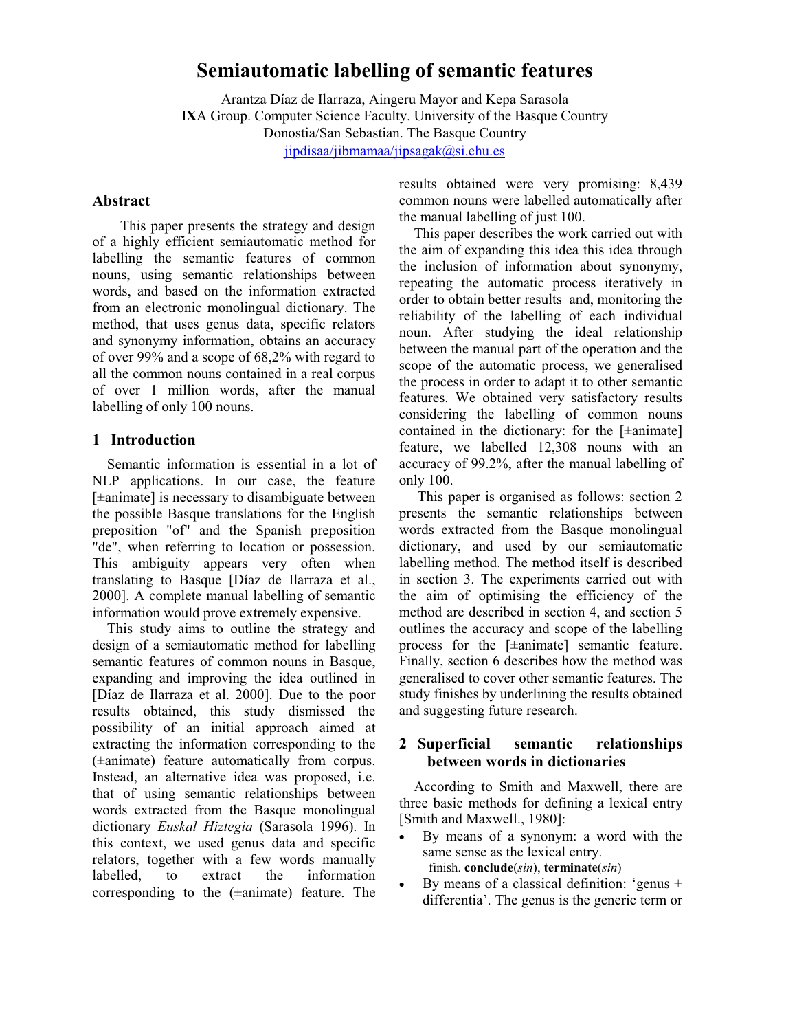# **Semiautomatic labelling of semantic features**

Arantza Díaz de Ilarraza, Aingeru Mayor and Kepa Sarasola I**X**A Group. Computer Science Faculty. University of the Basque Country Donostia/San Sebastian. The Basque Country jipdisaa/jibmamaa/jipsagak@si.ehu.es

### **Abstract**

This paper presents the strategy and design of a highly efficient semiautomatic method for labelling the semantic features of common nouns, using semantic relationships between words, and based on the information extracted from an electronic monolingual dictionary. The method, that uses genus data, specific relators and synonymy information, obtains an accuracy of over 99% and a scope of 68,2% with regard to all the common nouns contained in a real corpus of over 1 million words, after the manual labelling of only 100 nouns.

#### **1 Introduction**

Semantic information is essential in a lot of NLP applications. In our case, the feature [±animate] is necessary to disambiguate between the possible Basque translations for the English preposition "of" and the Spanish preposition "de", when referring to location or possession. This ambiguity appears very often when translating to Basque [Díaz de Ilarraza et al., 2000]. A complete manual labelling of semantic information would prove extremely expensive.

This study aims to outline the strategy and design of a semiautomatic method for labelling semantic features of common nouns in Basque, expanding and improving the idea outlined in [Díaz de Ilarraza et al. 2000]. Due to the poor results obtained, this study dismissed the possibility of an initial approach aimed at extracting the information corresponding to the (±animate) feature automatically from corpus. Instead, an alternative idea was proposed, i.e. that of using semantic relationships between words extracted from the Basque monolingual dictionary *Euskal Hiztegia* (Sarasola 1996). In this context, we used genus data and specific relators, together with a few words manually labelled, to extract the information corresponding to the (±animate) feature. The

results obtained were very promising: 8,439 common nouns were labelled automatically after the manual labelling of just 100.

This paper describes the work carried out with the aim of expanding this idea this idea through the inclusion of information about synonymy, repeating the automatic process iteratively in order to obtain better results and, monitoring the reliability of the labelling of each individual noun. After studying the ideal relationship between the manual part of the operation and the scope of the automatic process, we generalised the process in order to adapt it to other semantic features. We obtained very satisfactory results considering the labelling of common nouns contained in the dictionary: for the [±animate] feature, we labelled 12,308 nouns with an accuracy of 99.2%, after the manual labelling of only 100.

 This paper is organised as follows: section 2 presents the semantic relationships between words extracted from the Basque monolingual dictionary, and used by our semiautomatic labelling method. The method itself is described in section 3. The experiments carried out with the aim of optimising the efficiency of the method are described in section 4, and section 5 outlines the accuracy and scope of the labelling process for the [±animate] semantic feature. Finally, section 6 describes how the method was generalised to cover other semantic features. The study finishes by underlining the results obtained and suggesting future research.

## **2 Superficial semantic relationships between words in dictionaries**

According to Smith and Maxwell, there are three basic methods for defining a lexical entry [Smith and Maxwell., 1980]:

- By means of a synonym: a word with the same sense as the lexical entry. finish. **conclude**(*sin*), **terminate**(*sin*)
- By means of a classical definition: 'genus  $+$ differentia'. The genus is the generic term or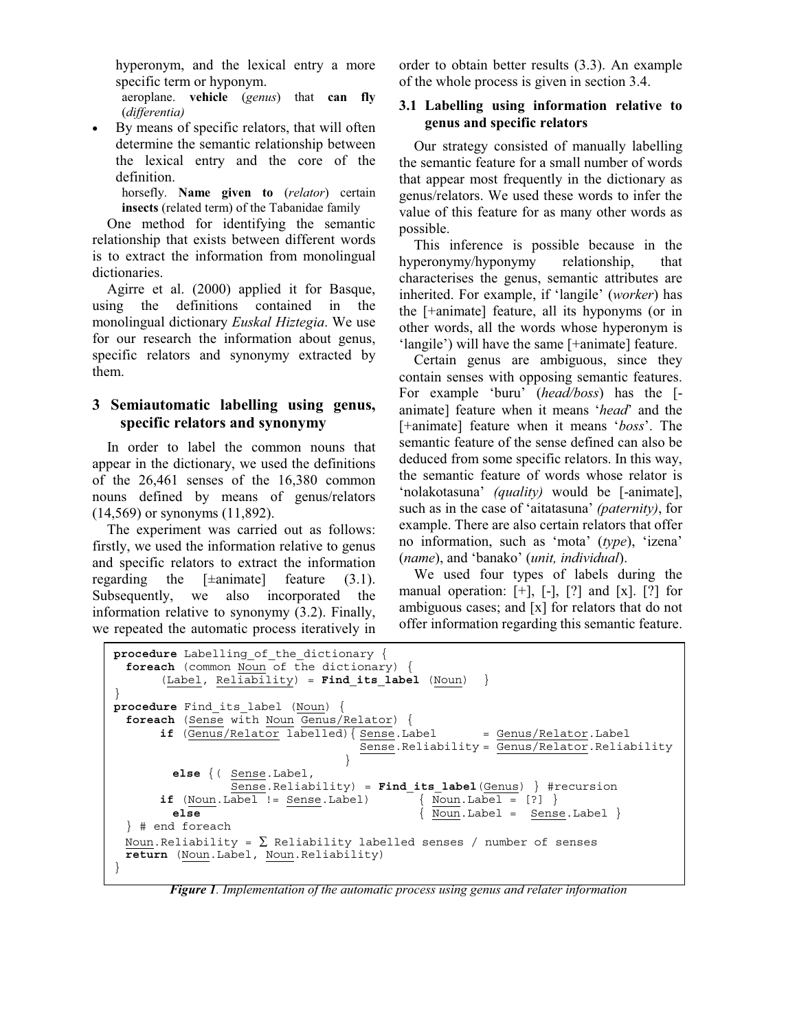hyperonym, and the lexical entry a more specific term or hyponym.

aeroplane. **vehicle** (*genus*) that **can fly**  (*differentia)* 

By means of specific relators, that will often determine the semantic relationship between the lexical entry and the core of the definition.

> horsefly. **Name given to** (*relator*) certain **insects** (related term) of the Tabanidae family

One method for identifying the semantic relationship that exists between different words is to extract the information from monolingual dictionaries.

Agirre et al. (2000) applied it for Basque, using the definitions contained in the monolingual dictionary *Euskal Hiztegia*. We use for our research the information about genus, specific relators and synonymy extracted by them.

# **3 Semiautomatic labelling using genus, specific relators and synonymy**

In order to label the common nouns that appear in the dictionary, we used the definitions of the 26,461 senses of the 16,380 common nouns defined by means of genus/relators (14,569) or synonyms (11,892).

The experiment was carried out as follows: firstly, we used the information relative to genus and specific relators to extract the information regarding the  $[\pm$ animate] feature (3.1). Subsequently, we also incorporated the information relative to synonymy (3.2). Finally, we repeated the automatic process iteratively in

order to obtain better results (3.3). An example of the whole process is given in section 3.4.

### **3.1 Labelling using information relative to genus and specific relators**

Our strategy consisted of manually labelling the semantic feature for a small number of words that appear most frequently in the dictionary as genus/relators. We used these words to infer the value of this feature for as many other words as possible.

This inference is possible because in the hyperonymy/hyponymy relationship, that characterises the genus, semantic attributes are inherited. For example, if 'langile' (*worker*) has the [+animate] feature, all its hyponyms (or in other words, all the words whose hyperonym is 'langile') will have the same [+animate] feature.

Certain genus are ambiguous, since they contain senses with opposing semantic features. For example 'buru' (*head/boss*) has the [ animate] feature when it means '*head*' and the [+animate] feature when it means '*boss*'. The semantic feature of the sense defined can also be deduced from some specific relators. In this way, the semantic feature of words whose relator is 'nolakotasuna' *(quality)* would be [-animate], such as in the case of 'aitatasuna' *(paternity)*, for example. There are also certain relators that offer no information, such as 'mota' (*type*), 'izena' (*name*), and 'banako' (*unit, individual*).

We used four types of labels during the manual operation:  $[+]$ ,  $[.]$ ,  $[?]$  and  $[x]$ .  $[?]$  for ambiguous cases; and [x] for relators that do not offer information regarding this semantic feature.

```
procedure Labelling of the dictionary {
 foreach (common Noun of the dictionary) { 
       (Label, Reliability) = Find_its_label (Noun) } 
} 
procedure Find_its_label (Noun) { 
 foreach (Sense with Noun Genus/Relator) { 
      if (Genus/Relator labeled) \{ Sense.Label = Genus/Relator.Label Sense.Reliability = Genus/Relator.Reliability 
                                } 
         else {( Sense.Label, 
                 Sense.Reliability) = Find_its_label(Genus) } #recursion 
      if (Noun.Label != Sense.Label) \{ Noun.Label = [?] \}else \{ Noun.Label = Sense.Label \}} # end foreach 
 Noun.Reliability = \sum Reliability labelled senses / number of senses
 return (Noun.Label, Noun.Reliability) 
}
```
*Figure 1. Implementation of the automatic process using genus and relater information*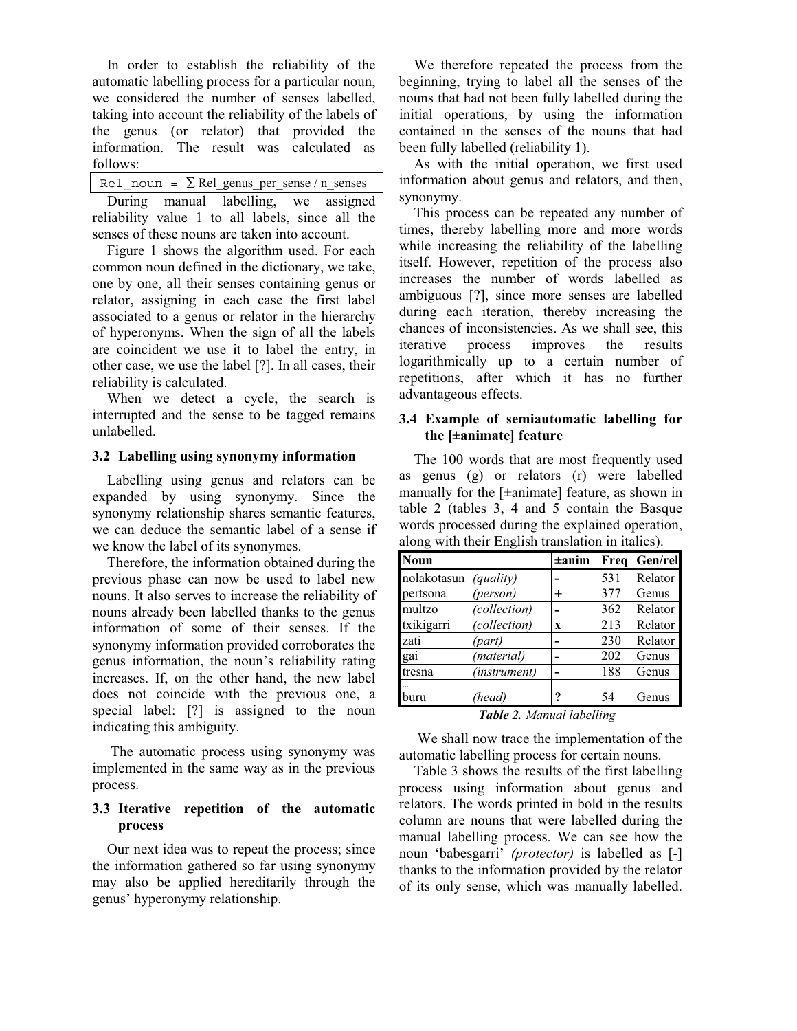In order to establish the reliability of the automatic labelling process for a particular noun, we considered the number of senses labelled, taking into account the reliability of the labels of the genus (or relator) that provided the information. The result was calculated as follows:

| Rel noun = $\Sigma$ Rel genus per sense / n senses |  |  |  |  |  |
|----------------------------------------------------|--|--|--|--|--|
|----------------------------------------------------|--|--|--|--|--|

During manual labelling, we assigned reliability value 1 to all labels, since all the senses of these nouns are taken into account.

Figure 1 shows the algorithm used. For each common noun defined in the dictionary, we take, one by one, all their senses containing genus or relator, assigning in each case the first label associated to a genus or relator in the hierarchy of hyperonyms. When the sign of all the labels are coincident we use it to label the entry, in other case, we use the label [?]. In all cases, their reliability is calculated.

When we detect a cycle, the search is interrupted and the sense to be tagged remains unlabelled.

#### **3.2 Labelling using synonymy information**

Labelling using genus and relators can be expanded by using synonymy. Since the synonymy relationship shares semantic features, we can deduce the semantic label of a sense if we know the label of its synonymes.

Therefore, the information obtained during the previous phase can now be used to label new nouns. It also serves to increase the reliability of nouns already been labelled thanks to the genus information of some of their senses. If the synonymy information provided corroborates the genus information, the noun's reliability rating increases. If, on the other hand, the new label does not coincide with the previous one, a special label: [?] is assigned to the noun indicating this ambiguity.

The automatic process using synonymy was implemented in the same way as in the previous process.

### **3.3 Iterative repetition of the automatic process**

Our next idea was to repeat the process; since the information gathered so far using synonymy may also be applied hereditarily through the genus' hyperonymy relationship.

We therefore repeated the process from the beginning, trying to label all the senses of the nouns that had not been fully labelled during the initial operations, by using the information contained in the senses of the nouns that had been fully labelled (reliability 1).

As with the initial operation, we first used information about genus and relators, and then, synonymy.

This process can be repeated any number of times, thereby labelling more and more words while increasing the reliability of the labelling itself. However, repetition of the process also increases the number of words labelled as ambiguous [?], since more senses are labelled during each iteration, thereby increasing the chances of inconsistencies. As we shall see, this iterative process improves the results logarithmically up to a certain number of repetitions, after which it has no further advantageous effects.

#### **3.4 Example of semiautomatic labelling for the [±animate] feature**

The 100 words that are most frequently used as genus (g) or relators (r) were labelled manually for the [±animate] feature, as shown in table 2 (tables 3, 4 and 5 contain the Basque words processed during the explained operation, along with their English translation in italics).

| Noun        |                  | $\pm$ anim | Freq | Gen/rel |
|-------------|------------------|------------|------|---------|
| nolakotasun | <i>(quality)</i> |            | 531  | Relator |
| pertsona    | (person)         | $+$        | 377  | Genus   |
| multzo      | (collection)     |            | 362  | Relator |
| txikigarri  | (collection)     | X          | 213  | Relator |
| zati        | (part)           |            | 230  | Relator |
| gai         | (material)       |            | 202  | Genus   |
| tresna      | (instrument)     |            | 188  | Genus   |
|             |                  |            |      |         |
| buru        | (head)           | 9          | 54   | Genus   |

#### *Table 2. Manual labelling*

We shall now trace the implementation of the automatic labelling process for certain nouns.

Table 3 shows the results of the first labelling process using information about genus and relators. The words printed in bold in the results column are nouns that were labelled during the manual labelling process. We can see how the noun 'babesgarri' *(protector)* is labelled as [-] thanks to the information provided by the relator of its only sense, which was manually labelled.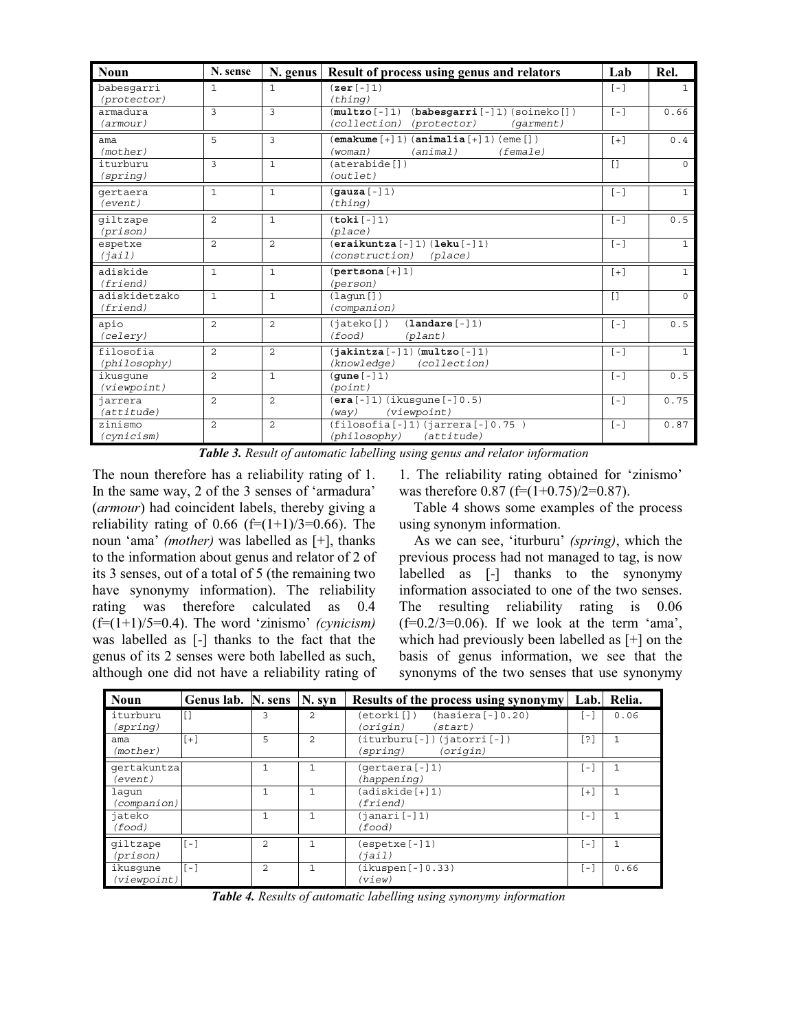| <b>Noun</b>                   | N. sense       |                | N. genus   Result of process using genus and relators                                                   | Lab    | Rel.           |
|-------------------------------|----------------|----------------|---------------------------------------------------------------------------------------------------------|--------|----------------|
| babesqarri<br>(protector)     | $\mathbf{1}$   | 1              | $(\texttt{zer}[-]1)$<br>(thing)                                                                         | $[-]$  | $\mathbf{1}$   |
| armadura<br>$(\text{armour})$ | 3              | 3              | $(babesqarri [-1) (soineko [] )$<br>$(\texttt{multzo}[-]1)$<br>(collection)<br>(protector)<br>(garment) | $[-1]$ | 0.66           |
| ama<br>(mother)               | 5              | 3              | $[$ emakume $[+]1)$ $($ animalia $[+]1)$ $($ eme $[$ ] $)$<br>(woman)<br>(animal)<br>(female)           | $[+]$  | 0.4            |
| iturburu<br>(spring)          | 3              | $\mathbf{1}$   | (aterabide[])<br>(outlet)                                                                               | $\Box$ | $\Omega$       |
| qertaera<br>(event)           | $\mathbf{1}$   | $\mathbf{1}$   | $(\texttt{quza}[-]1)$<br>(thing)                                                                        | $[-]$  | $\mathbf{1}$   |
| qiltzape<br>(prison)          | $\overline{2}$ | $\mathbf{1}$   | (toki[-]1)<br>(place)                                                                                   | $[-]$  | 0.5            |
| espetxe<br>(iai1)             | $\mathfrak{D}$ | $\overline{2}$ | $($ eraikuntza $[-]1)$ $($ leku $[-]1)$<br>(construction)<br>(place)                                    | $[-]$  | $\mathbf{1}$   |
| adiskide<br>(friend)          | $\mathbf{1}$   | $\mathbf{1}$   | $(\texttt{pertsona}\left[\,+\,\right]\,1)$<br>(person)                                                  | $[+]$  | $\mathbf{1}$   |
| adiskidetzako<br>(friend)     | $\mathbf{1}$   | $\mathbf{1}$   | (laqun[])<br>(companion)                                                                                | $\Box$ | $\Omega$       |
| apio<br>(celery)              | $\overline{a}$ | $\overline{a}$ | $(\texttt{landare}[-]1)$<br>(jateko[])<br>(food)<br>(planet)                                            | $[-]$  | 0.5            |
| filosofia<br>(philosophy)     | $\overline{a}$ | $\overline{a}$ | $(\texttt{jakintza}[-]1)$ $(\texttt{multzo}[-]1)$<br>(knowledge)<br>(collection)                        | $[-1]$ | $\overline{1}$ |
| ikusqune<br>(viewpoint)       | $\overline{a}$ | $\mathbf{1}$   | $($ qune $[-]1)$<br>(point)                                                                             | $[-]$  | 0.5            |
| iarrera<br>(attitude)         | $\overline{a}$ | $\overline{c}$ | $(era [-] 1)$ (ikusqune $[-] 0.5)$<br>(viewpoint)<br>(way)                                              | $[-1]$ | 0.75           |
| zinismo<br>(cynicism)         | $\mathfrak{D}$ | $\overline{a}$ | $(filosofia[-]1)$ $(jarrera[-]0.75)$<br>(philosophy)<br>(attitude)                                      | $[-1]$ | 0.87           |

*Table 3. Result of automatic labelling using genus and relator information* 

The noun therefore has a reliability rating of 1. In the same way, 2 of the 3 senses of 'armadura' (*armour*) had coincident labels, thereby giving a reliability rating of 0.66 (f= $(1+1)/3=0.66$ ). The noun 'ama' *(mother)* was labelled as [+], thanks to the information about genus and relator of 2 of its 3 senses, out of a total of 5 (the remaining two have synonymy information). The reliability rating was therefore calculated as 0.4 (f=(1+1)/5=0.4). The word 'zinismo' *(cynicism)* was labelled as [-] thanks to the fact that the genus of its 2 senses were both labelled as such, although one did not have a reliability rating of

1. The reliability rating obtained for 'zinismo' was therefore  $0.87$  (f=(1+0.75)/2=0.87).

Table 4 shows some examples of the process using synonym information.

As we can see, 'iturburu' *(spring)*, which the previous process had not managed to tag, is now labelled as [-] thanks to the synonymy information associated to one of the two senses. The resulting reliability rating is 0.06  $(f=0.2/3=0.06)$ . If we look at the term 'ama', which had previously been labelled as [+] on the basis of genus information, we see that the synonyms of the two senses that use synonymy

| <b>Noun</b>             | Genus lab. N. sens |                | N. syn         | Results of the process using synonymy                   | Lab.                          | Relia.       |
|-------------------------|--------------------|----------------|----------------|---------------------------------------------------------|-------------------------------|--------------|
| iturburu<br>(spring)    | n                  | 3              | $\overline{2}$ | $(hasiera[-]0.20)$<br>(etorki[])<br>(origin)<br>(start) | i – 1                         | 0.06         |
| ama<br>(mother)         | $[+]$              | 5              | $\mathfrak{D}$ | (iturburu[-])(jatorri[-])<br>(origin)<br>(spring)       | [?]                           | $\mathbf{1}$ |
| qertakuntza<br>(event)  |                    |                |                | (gertaera [-]1)<br>(happening)                          | $\overline{ }$ $\overline{ }$ | $\mathbf{1}$ |
| laqun<br>(companion)    |                    | $\mathbf{1}$   |                | (adiskide[+]1)<br>(friend)                              | $[+]$                         | $\mathbf{1}$ |
| jateko<br>(food)        |                    | $\mathbf{1}$   | $\mathbf{1}$   | $(janari[-]1)$<br>(food)                                | [ – ]                         | $\mathbf{1}$ |
| qiltzape<br>(prison)    | $[-]$              | $\overline{c}$ |                | (espetxe[-]1)<br>(iai1)                                 | $\lfloor - \rfloor$           |              |
| ikusqune<br>(viewpoint) | $\lceil - \rceil$  | $\mathfrak{D}$ | 1              | $(ikuspen[-]0.33)$<br>(view)                            | [ – ]                         | 0.66         |

*Table 4. Results of automatic labelling using synonymy information*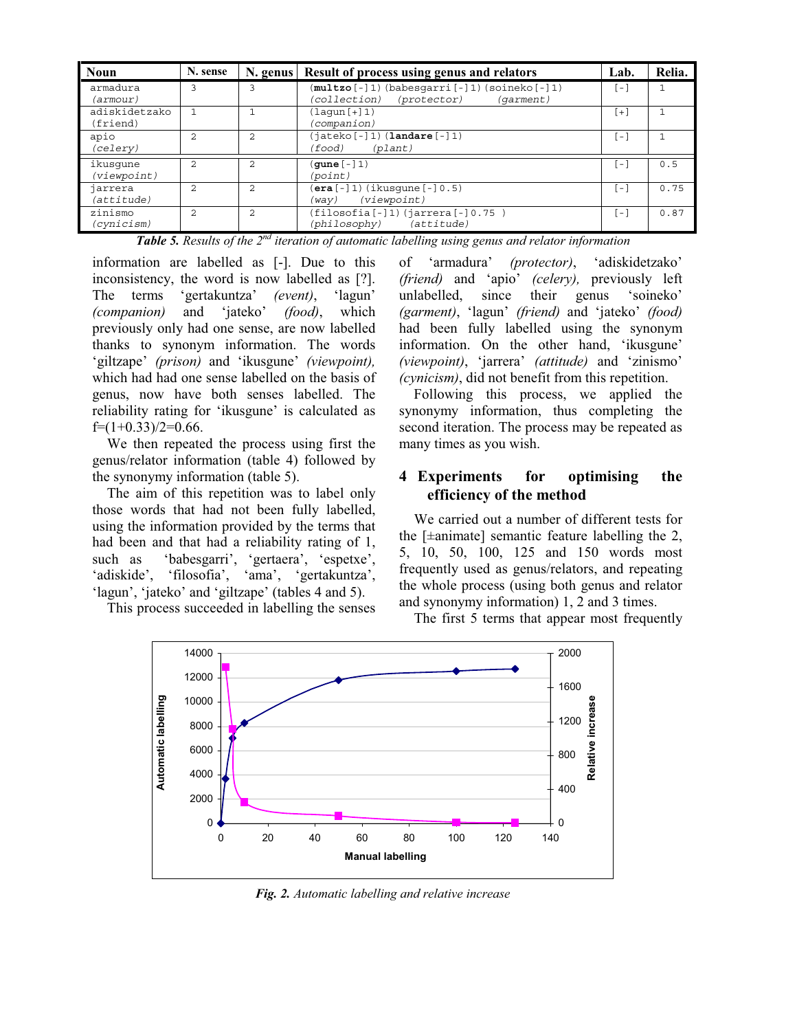| <b>Noun</b>               | N. sense       | N. genus       | Result of process using genus and relators                                            | Lab.   | Relia. |
|---------------------------|----------------|----------------|---------------------------------------------------------------------------------------|--------|--------|
| armadura<br>(armour)      | 3              |                | (multzo[-]1)(babesgarri[-]1)(soineko[-]1)<br>(collection)<br>(protector)<br>(garment) | .,     |        |
| adiskidetzako<br>(friend) |                |                | $(laqun [+]1)$<br>(companion)                                                         | [+]    |        |
| apio<br>(celery)          | $\mathfrak{D}$ | 2              | $(jateko[-]1)$ $(landare[-]1)$<br>(plant)<br>(food)                                   | r – 1  |        |
| ikusqune<br>(viewpoint)   | $\overline{a}$ | $\mathfrak{D}$ | $($ qune $[-]1)$<br>(point)                                                           | i – i  | 0.5    |
| jarrera<br>(attitude)     | $\mathfrak{D}$ | 2              | (era[-]1)(ikusqune[-]0.5)<br>(viewpoint)<br>(way)                                     | H      | 0.75   |
| zinismo<br>(cynicism)     | $\mathcal{D}$  | $\mathcal{D}$  | $(filosofia[-]1)$ $(jarrera[-]0.75)$<br>(philosophy) (attitude)                       | $\sim$ | 0.87   |

**Table 5.** *Results of the 2<sup>nd</sup> iteration of automatic labelling using genus and relator information* are labelled as [-]. Due to this of 'armadura' (protector), 'adiski

information are labelled as [-]. Due to this inconsistency, the word is now labelled as [?]. The terms 'gertakuntza' *(event)*, 'lagun' *(companion)* and 'jateko' *(food)*, which previously only had one sense, are now labelled thanks to synonym information. The words 'giltzape' *(prison)* and 'ikusgune' *(viewpoint),*  which had had one sense labelled on the basis of genus, now have both senses labelled. The reliability rating for 'ikusgune' is calculated as  $f=(1+0.33)/2=0.66$ .

We then repeated the process using first the genus/relator information (table 4) followed by the synonymy information (table 5).

The aim of this repetition was to label only those words that had not been fully labelled, using the information provided by the terms that had been and that had a reliability rating of 1, such as 'babesgarri', 'gertaera', 'espetxe', 'adiskide', 'filosofia', 'ama', 'gertakuntza', 'lagun', 'jateko' and 'giltzape' (tables 4 and 5).

This process succeeded in labelling the senses

'adiskidetzako' *(friend)* and 'apio' *(celery),* previously left unlabelled, since their genus 'soineko' *(garment)*, 'lagun' *(friend)* and 'jateko' *(food)* had been fully labelled using the synonym information. On the other hand, 'ikusgune' *(viewpoint)*, 'jarrera' *(attitude)* and 'zinismo' *(cynicism)*, did not benefit from this repetition.

Following this process, we applied the synonymy information, thus completing the second iteration. The process may be repeated as many times as you wish.

# **4 Experiments for optimising the efficiency of the method**

We carried out a number of different tests for the  $[\pm$ animate] semantic feature labelling the 2, 5, 10, 50, 100, 125 and 150 words most frequently used as genus/relators, and repeating the whole process (using both genus and relator and synonymy information) 1, 2 and 3 times.

The first 5 terms that appear most frequently



*Fig. 2. Automatic labelling and relative increase*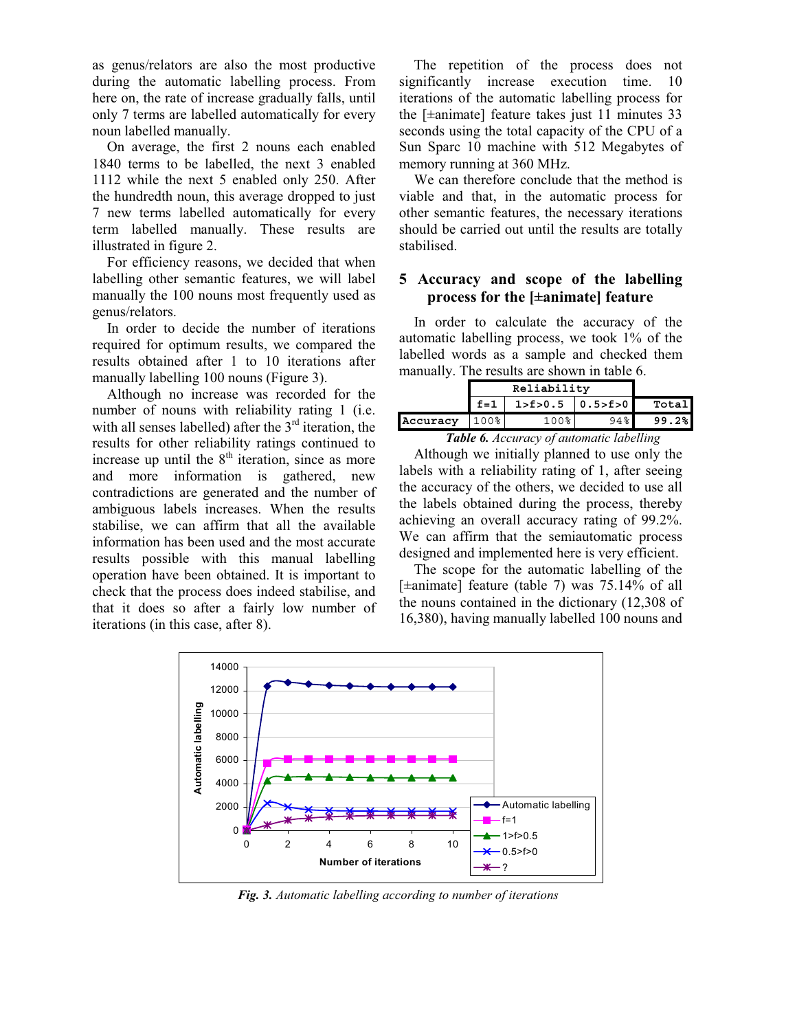as genus/relators are also the most productive during the automatic labelling process. From here on, the rate of increase gradually falls, until only 7 terms are labelled automatically for every noun labelled manually.

On average, the first 2 nouns each enabled 1840 terms to be labelled, the next 3 enabled 1112 while the next 5 enabled only 250. After the hundredth noun, this average dropped to just 7 new terms labelled automatically for every term labelled manually. These results are illustrated in figure 2.

For efficiency reasons, we decided that when labelling other semantic features, we will label manually the 100 nouns most frequently used as genus/relators.

In order to decide the number of iterations required for optimum results, we compared the results obtained after 1 to 10 iterations after manually labelling 100 nouns (Figure 3).

Although no increase was recorded for the number of nouns with reliability rating 1 (i.e. with all senses labelled) after the  $3<sup>rd</sup>$  iteration, the results for other reliability ratings continued to increase up until the  $8<sup>th</sup>$  iteration, since as more and more information is gathered, new contradictions are generated and the number of ambiguous labels increases. When the results stabilise, we can affirm that all the available information has been used and the most accurate results possible with this manual labelling operation have been obtained. It is important to check that the process does indeed stabilise, and that it does so after a fairly low number of iterations (in this case, after 8).

The repetition of the process does not significantly increase execution time. 10 iterations of the automatic labelling process for the [±animate] feature takes just 11 minutes 33 seconds using the total capacity of the CPU of a Sun Sparc 10 machine with 512 Megabytes of memory running at 360 MHz.

We can therefore conclude that the method is viable and that, in the automatic process for other semantic features, the necessary iterations should be carried out until the results are totally stabilised.

# **5 Accuracy and scope of the labelling process for the [±animate] feature**

In order to calculate the accuracy of the automatic labelling process, we took 1% of the labelled words as a sample and checked them manually. The results are shown in table 6.

|          | f=1 | 1 > f > 0.5 | 0.5> f > 0 | Total |
|----------|-----|-------------|------------|-------|
| Accuracy |     | 100%        | 94%        | 99.2% |

*Table 6. Accuracy of automatic labelling* 

Although we initially planned to use only the labels with a reliability rating of 1, after seeing the accuracy of the others, we decided to use all the labels obtained during the process, thereby achieving an overall accuracy rating of 99.2%. We can affirm that the semiautomatic process designed and implemented here is very efficient.

The scope for the automatic labelling of the [±animate] feature (table 7) was 75.14% of all the nouns contained in the dictionary (12,308 of 16,380), having manually labelled 100 nouns and



*Fig. 3. Automatic labelling according to number of iterations*